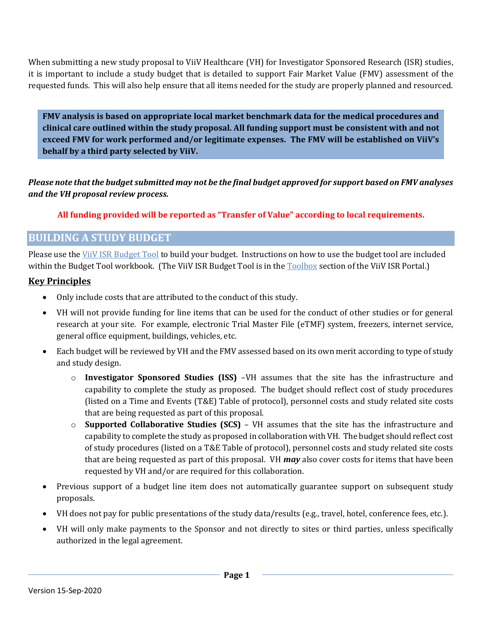When submitting a new study proposal to ViiV Healthcare (VH) for Investigator Sponsored Research (ISR) studies, it is important to include a study budget that is detailed to support Fair Market Value (FMV) assessment of the requested funds. This will also help ensure that all items needed for the study are properly planned and resourced.

**FMV analysis is based on appropriate local market benchmark data for the medical procedures and clinical care outlined within the study proposal. All funding support must be consistent with and not exceed FMV for work performed and/or legitimate expenses. The FMV will be established on ViiV's behalf by a third party selected by ViiV.**

*Please note that the budget submitted may not be the final budget approved for support based on FMV analyses and the VH proposal review process.*

#### **All funding provided will be reported as "Transfer of Value" according to local requirements.**

# **BUILDING A STUDY BUDGET**

Please use the ViiV ISR [Budget Tool](https://viiv-portal.idea-point.com/Documents/ViiV%20ISS%20Budget%20Tool.xlsm) to build your budget. Instructions on how to use the budget tool are included within the Budget Tool workbook. (The ViiV ISR Budget Tool is in the [Toolbox](https://viiv-portal.idea-point.com/Tools-Templates.aspx) section of the ViiV ISR Portal.)

## **Key Principles**

- Only include costs that are attributed to the conduct of this study.
- VH will not provide funding for line items that can be used for the conduct of other studies or for general research at your site. For example, electronic Trial Master File (eTMF) system, freezers, internet service, general office equipment, buildings, vehicles, etc.
- Each budget will be reviewed by VH and the FMV assessed based on its own merit according to type of study and study design.
	- o **Investigator Sponsored Studies (ISS)** –VH assumes that the site has the infrastructure and capability to complete the study as proposed. The budget should reflect cost of study procedures (listed on a Time and Events (T&E) Table of protocol), personnel costs and study related site costs that are being requested as part of this proposal.
	- o **Supported Collaborative Studies (SCS)** VH assumes that the site has the infrastructure and capability to complete the study as proposed in collaboration with VH. The budget should reflect cost of study procedures (listed on a T&E Table of protocol), personnel costs and study related site costs that are being requested as part of this proposal. VH *may* also cover costs for items that have been requested by VH and/or are required for this collaboration.
- Previous support of a budget line item does not automatically guarantee support on subsequent study proposals.
- VH does not pay for public presentations of the study data/results (e.g., travel, hotel, conference fees, etc.).
- VH will only make payments to the Sponsor and not directly to sites or third parties, unless specifically authorized in the legal agreement.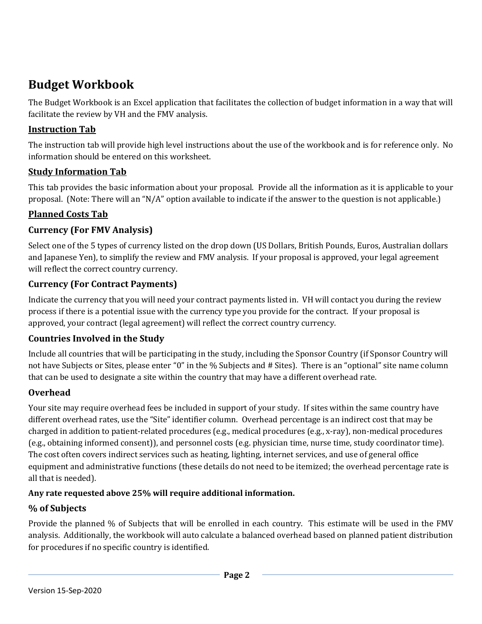# **Budget Workbook**

The Budget Workbook is an Excel application that facilitates the collection of budget information in a way that will facilitate the review by VH and the FMV analysis.

# **Instruction Tab**

The instruction tab will provide high level instructions about the use of the workbook and is for reference only. No information should be entered on this worksheet.

## **Study Information Tab**

This tab provides the basic information about your proposal. Provide all the information as it is applicable to your proposal. (Note: There will an "N/A" option available to indicate if the answer to the question is not applicable.)

## **Planned Costs Tab**

# **Currency (For FMV Analysis)**

Select one of the 5 types of currency listed on the drop down (US Dollars, British Pounds, Euros, Australian dollars and Japanese Yen), to simplify the review and FMV analysis. If your proposal is approved, your legal agreement will reflect the correct country currency.

# **Currency (For Contract Payments)**

Indicate the currency that you will need your contract payments listed in. VH will contact you during the review process if there is a potential issue with the currency type you provide for the contract. If your proposal is approved, your contract (legal agreement) will reflect the correct country currency.

#### **Countries Involved in the Study**

Include all countries that will be participating in the study, including the Sponsor Country (if Sponsor Country will not have Subjects or Sites, please enter "0" in the % Subjects and # Sites). There is an "optional" site name column that can be used to designate a site within the country that may have a different overhead rate.

#### **Overhead**

Your site may require overhead fees be included in support of your study. If sites within the same country have different overhead rates, use the "Site" identifier column. Overhead percentage is an indirect cost that may be charged in addition to patient-related procedures (e.g., medical procedures (e.g., x-ray), non-medical procedures (e.g., obtaining informed consent)), and personnel costs (e.g. physician time, nurse time, study coordinator time). The cost often covers indirect services such as heating, lighting, internet services, and use of general office equipment and administrative functions (these details do not need to be itemized; the overhead percentage rate is all that is needed).

#### **Any rate requested above 25% will require additional information.**

#### **% of Subjects**

Provide the planned % of Subjects that will be enrolled in each country. This estimate will be used in the FMV analysis. Additionally, the workbook will auto calculate a balanced overhead based on planned patient distribution for procedures if no specific country is identified.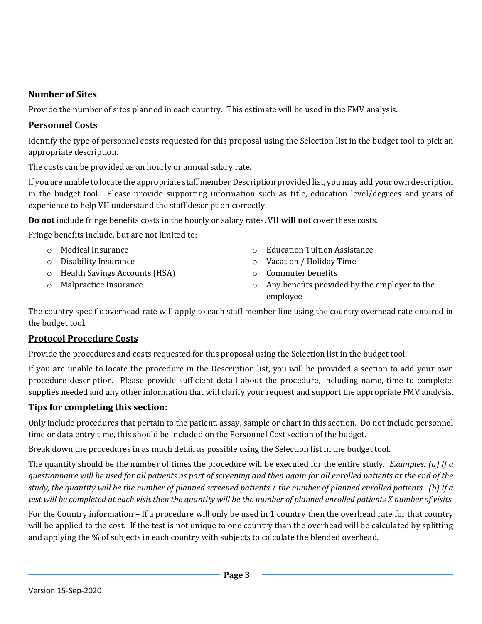#### **Number of Sites**

Provide the number of sites planned in each country. This estimate will be used in the FMV analysis.

#### **Personnel Costs**

Identify the type of personnel costs requested for this proposal using the Selection list in the budget tool to pick an appropriate description.

The costs can be provided as an hourly or annual salary rate.

If you are unable to locate the appropriate staff member Description provided list, you may add your own description in the budget tool. Please provide supporting information such as title, education level/degrees and years of experience to help VH understand the staff description correctly.

**Do not** include fringe benefits costs in the hourly or salary rates. VH **will not** cover these costs.

Fringe benefits include, but are not limited to:

- o Medical Insurance
- o Disability Insurance
- o Health Savings Accounts (HSA)
- o Malpractice Insurance
- o Education Tuition Assistance
- o Vacation / Holiday Time
- o Commuter benefits
- o Any benefits provided by the employer to the employee

The country specific overhead rate will apply to each staff member line using the country overhead rate entered in the budget tool.

#### **Protocol Procedure Costs**

Provide the procedures and costs requested for this proposal using the Selection list in the budget tool.

If you are unable to locate the procedure in the Description list, you will be provided a section to add your own procedure description. Please provide sufficient detail about the procedure, including name, time to complete, supplies needed and any other information that will clarify your request and support the appropriate FMV analysis.

#### **Tips for completing this section:**

Only include procedures that pertain to the patient, assay, sample or chart in this section. Do not include personnel time or data entry time, this should be included on the Personnel Cost section of the budget.

Break down the procedures in as much detail as possible using the Selection list in the budget tool.

The quantity should be the number of times the procedure will be executed for the entire study. *Examples: (a) If a questionnaire will be used for all patients as part of screening and then again for all enrolled patients at the end of the study, the quantity will be the number of planned screened patients + the number of planned enrolled patients. (b) If a test will be completed at each visit then the quantity will be the number of planned enrolled patients X number of visits.*

For the Country information – If a procedure will only be used in 1 country then the overhead rate for that country will be applied to the cost. If the test is not unique to one country than the overhead will be calculated by splitting and applying the % of subjects in each country with subjects to calculate the blended overhead.